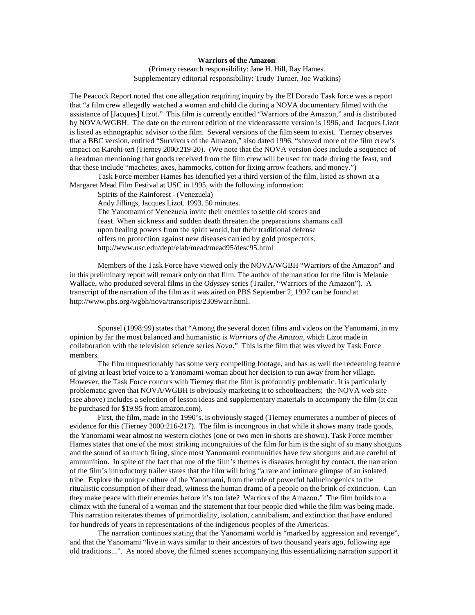## **Warriors of the Amazon**.

(Primary research responsibility: Jane H. Hill, Ray Hames. Supplementary editorial responsibility: Trudy Turner, Joe Watkins)

The Peacock Report noted that one allegation requiring inquiry by the El Dorado Task force was a report that "a film crew allegedly watched a woman and child die during a NOVA documentary filmed with the assistance of [Jacques] Lizot." This film is currently entitled "Warriors of the Amazon," and is distributed by NOVA/WGBH. The date on the current edition of the videocassette version is 1996, and Jacques Lizot is listed as ethnographic advisor to the film. Several versions of the film seem to exist. Tierney observes that a BBC version, entitled "Survivors of the Amazon," also dated 1996, "showed more of the film crew's impact on Karohi-teri (Tierney 2000:219-20). (We note that the NOVA version does include a sequence of a headman mentioning that goods received from the film crew will be used for trade during the feast, and that these include "machetes, axes, hammocks, cotton for fixing arrow feathers, and money.")

Task Force member Hames has identified yet a third version of the film, listed as shown at a Margaret Mead Film Festival at USC in 1995, with the following information:

Spirits of the Rainforest - (Venezuela)

Andy Jillings, Jacques Lizot. 1993. 50 minutes.

The Yanomami of Venezuela invite their enemies to settle old scores and feast. When sickness and sudden death threaten the preparations shamans call upon healing powers from the spirit world, but their traditional defense offers no protection against new diseases carried by gold prospectors. http://www.usc.edu/dept/elab/mead/mead95/desc95.html

Members of the Task Force have viewed only the NOVA/WGBH "Warriors of the Amazon" and in this preliminary report will remark only on that film. The author of the narration for the film is Melanie Wallace, who produced several films in the *Odyssey* series (Trailer, "Warriors of the Amazon"). A transcript of the narration of the film as it was aired on PBS September 2, 1997 can be found at http://www.pbs.org/wgbh/nova/transcripts/2309warr.html.

Sponsel (1998:99) states that "Among the several dozen films and videos on the Yanomami, in my opinion by far the most balanced and humanistic is *Warriors of the Amazon*, which Lizot made in collaboration with the television science series *Nova*." This is the film that was viwed by Task Force members.

The film unquestionably has some very compelling footage, and has as well the redeeming feature of giving at least brief voice to a Yanomami woman about her decision to run away from her village. However, the Task Force concurs with Tierney that the film is profoundly problematic. It is particularly problematic given that NOVA/WGBH is obviously marketing it to schoolteachers; the NOVA web site (see above) includes a selection of lesson ideas and supplementary materials to accompany the film (it can be purchased for \$19.95 from amazon.com).

First, the film, made in the 1990's, is obviously staged (Tierney enumerates a number of pieces of evidence for this (Tierney 2000:216-217). The film is incongrous in that while it shows many trade goods, the Yanomami wear almost no western clothes (one or two men in shorts are shown). Task Force member Hames states that one of the most striking incongruities of the film for him is the sight of so many shotguns and the sound of so much firing, since most Yanomami communities have few shotguns and are careful of ammunition. In spite of the fact that one of the film's themes is diseases brought by contact, the narration of the film's introductory trailer states that the film will bring "a rare and intimate glimpse of an isolated tribe. Explore the unique culture of the Yanomami, from the role of powerful hallucinogenics to the ritualistic consumption of their dead, witness the human drama of a people on the brink of extinction. Can they make peace with their enemies before it's too late? Warriors of the Amazon." The film builds to a climax with the funeral of a woman and the statement that four people died while the film was being made. This narration reiterates themes of primordiality, isolation, cannibalism, and extinction that have endured for hundreds of years in representations of the indigenous peoples of the Americas.

The narration continues stating that the Yanomami world is "marked by aggression and revenge", and that the Yanomami "live in ways similar to their ancestors of two thousand years ago, following age old traditions...". As noted above, the filmed scenes accompanying this essentializing narration support it